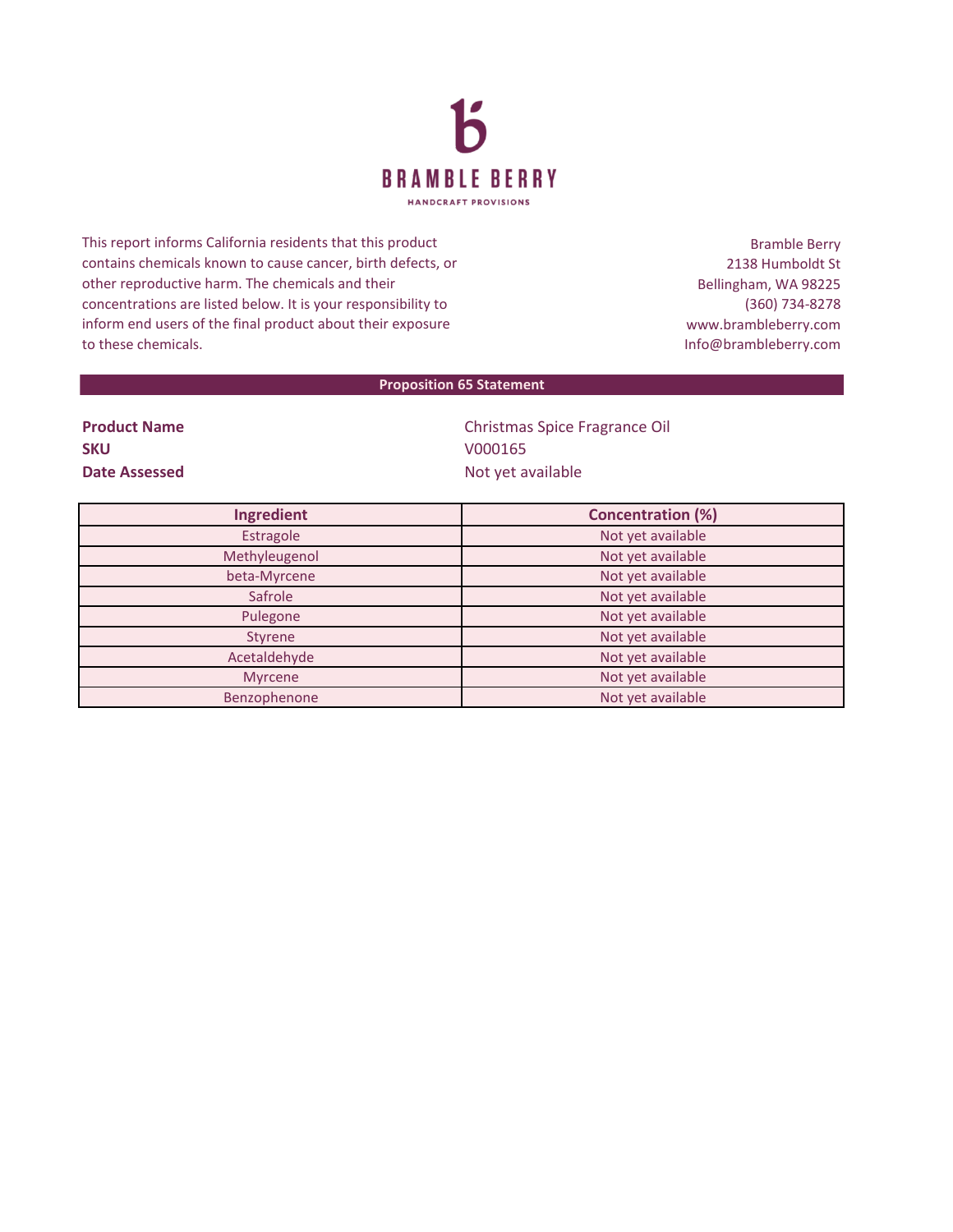

This report informs California residents that this product contains chemicals known to cause cancer, birth defects, or other reproductive harm. The chemicals and their concentrations are listed below. It is your responsibility to inform end users of the final product about their exposure to these chemicals.

Bramble Berry 2138 Humboldt St Bellingham, WA 98225 (360) 734-8278 www.brambleberry.com Info@brambleberry.com

## **Proposition 65 Statement**

**SKU** V000165

**Product Name** Christmas Spice Fragrance Oil **Date Assessed** Not yet available

| Ingredient    | <b>Concentration (%)</b> |
|---------------|--------------------------|
| Estragole     | Not yet available        |
| Methyleugenol | Not yet available        |
| beta-Myrcene  | Not yet available        |
| Safrole       | Not yet available        |
| Pulegone      | Not yet available        |
| Styrene       | Not yet available        |
| Acetaldehyde  | Not yet available        |
| Myrcene       | Not yet available        |
| Benzophenone  | Not yet available        |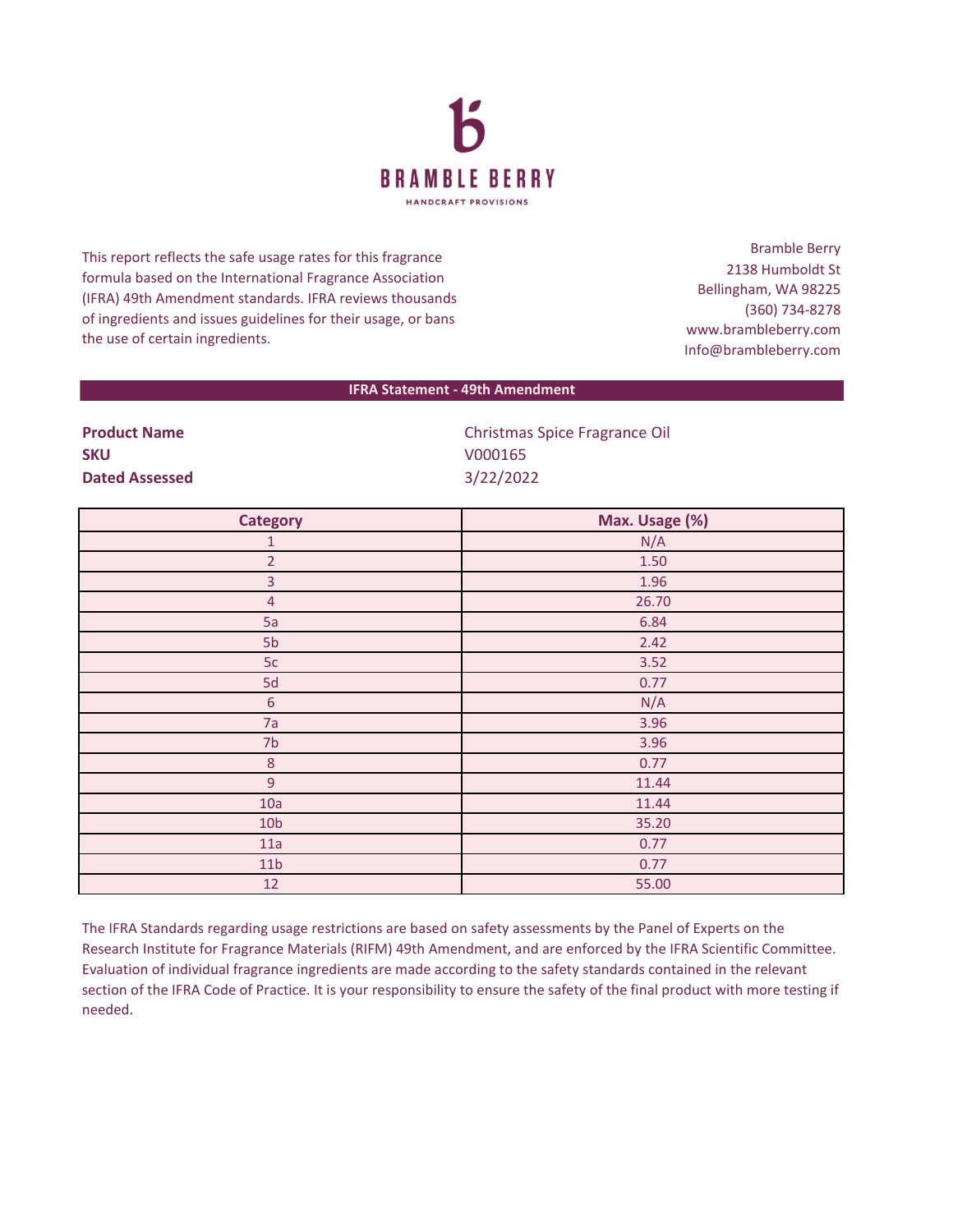

This report reflects the safe usage rates for this fragrance formula based on the International Fragrance Association (IFRA) 49th Amendment standards. IFRA reviews thousands of ingredients and issues guidelines for their usage, or bans the use of certain ingredients.

Bramble Berry 2138 Humboldt St Bellingham, WA 98225 (360) 734-8278 www.brambleberry.com Info@brambleberry.com

## **IFRA Statement - 49th Amendment**

**SKU** V000165 **Dated Assessed** 3/22/2022

**Product Name** Christmas Spice Fragrance Oil

| <b>Category</b> | Max. Usage (%) |
|-----------------|----------------|
| $\mathbf{1}$    | N/A            |
| $\overline{2}$  | 1.50           |
| $\overline{3}$  | 1.96           |
| $\overline{4}$  | 26.70          |
| 5a              | 6.84           |
| 5b              | 2.42           |
| 5c              | 3.52           |
| 5d              | 0.77           |
| $\sqrt{6}$      | N/A            |
| 7a              | 3.96           |
| 7 <sub>b</sub>  | 3.96           |
| $\,8\,$         | 0.77           |
| $\overline{9}$  | 11.44          |
| 10a             | 11.44          |
| 10 <sub>b</sub> | 35.20          |
| 11a             | 0.77           |
| 11 <sub>b</sub> | 0.77           |
| 12              | 55.00          |

The IFRA Standards regarding usage restrictions are based on safety assessments by the Panel of Experts on the Research Institute for Fragrance Materials (RIFM) 49th Amendment, and are enforced by the IFRA Scientific Committee. Evaluation of individual fragrance ingredients are made according to the safety standards contained in the relevant section of the IFRA Code of Practice. It is your responsibility to ensure the safety of the final product with more testing if needed.